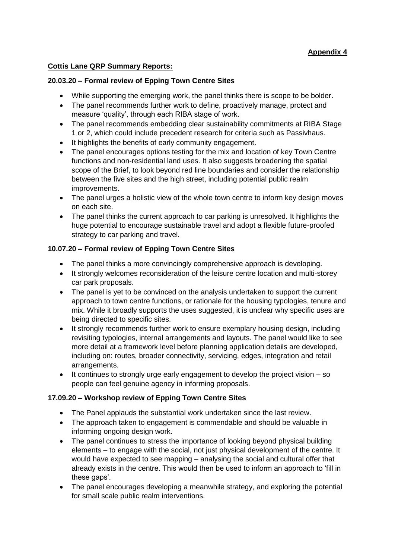# **Appendix 4**

### **Cottis Lane QRP Summary Reports:**

#### **20.03.20 – Formal review of Epping Town Centre Sites**

- While supporting the emerging work, the panel thinks there is scope to be bolder.
- The panel recommends further work to define, proactively manage, protect and measure 'quality', through each RIBA stage of work.
- The panel recommends embedding clear sustainability commitments at RIBA Stage 1 or 2, which could include precedent research for criteria such as Passivhaus.
- It highlights the benefits of early community engagement.
- The panel encourages options testing for the mix and location of key Town Centre functions and non-residential land uses. It also suggests broadening the spatial scope of the Brief, to look beyond red line boundaries and consider the relationship between the five sites and the high street, including potential public realm improvements.
- The panel urges a holistic view of the whole town centre to inform key design moves on each site.
- The panel thinks the current approach to car parking is unresolved. It highlights the huge potential to encourage sustainable travel and adopt a flexible future-proofed strategy to car parking and travel.

### **10.07.20 – Formal review of Epping Town Centre Sites**

- The panel thinks a more convincingly comprehensive approach is developing.
- It strongly welcomes reconsideration of the leisure centre location and multi-storey car park proposals.
- The panel is yet to be convinced on the analysis undertaken to support the current approach to town centre functions, or rationale for the housing typologies, tenure and mix. While it broadly supports the uses suggested, it is unclear why specific uses are being directed to specific sites.
- It strongly recommends further work to ensure exemplary housing design, including revisiting typologies, internal arrangements and layouts. The panel would like to see more detail at a framework level before planning application details are developed, including on: routes, broader connectivity, servicing, edges, integration and retail arrangements.
- It continues to strongly urge early engagement to develop the project vision so people can feel genuine agency in informing proposals.

## **17.09.20 – Workshop review of Epping Town Centre Sites**

- The Panel applauds the substantial work undertaken since the last review.
- The approach taken to engagement is commendable and should be valuable in informing ongoing design work.
- The panel continues to stress the importance of looking beyond physical building elements – to engage with the social, not just physical development of the centre. It would have expected to see mapping – analysing the social and cultural offer that already exists in the centre. This would then be used to inform an approach to 'fill in these gaps'.
- The panel encourages developing a meanwhile strategy, and exploring the potential for small scale public realm interventions.